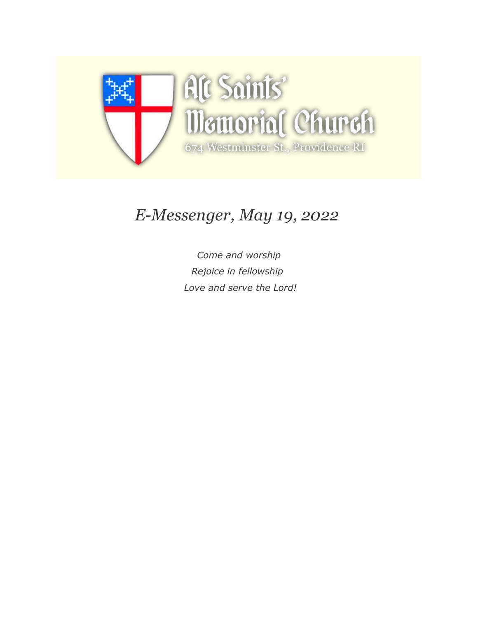

# *E-Messenger, May 19, 2022*

*Come and worship Rejoice in fellowship Love and serve the Lord!*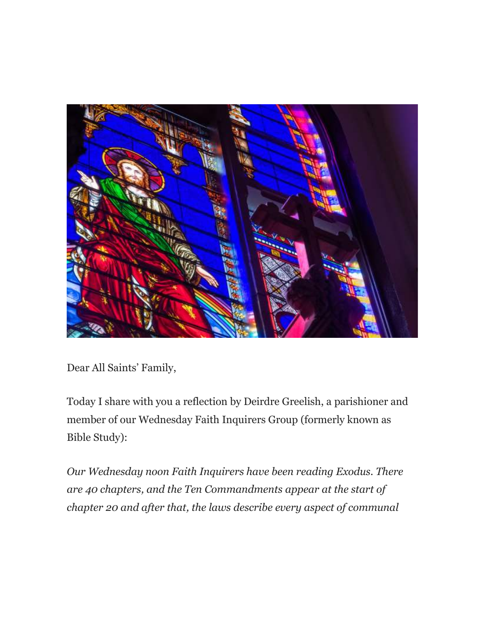

Dear All Saints' Family,

Today I share with you a reflection by Deirdre Greelish, a parishioner and member of our Wednesday Faith Inquirers Group (formerly known as Bible Study):

*Our Wednesday noon Faith Inquirers have been reading Exodus. There are 40 chapters, and the Ten Commandments appear at the start of chapter 20 and after that, the laws describe every aspect of communal*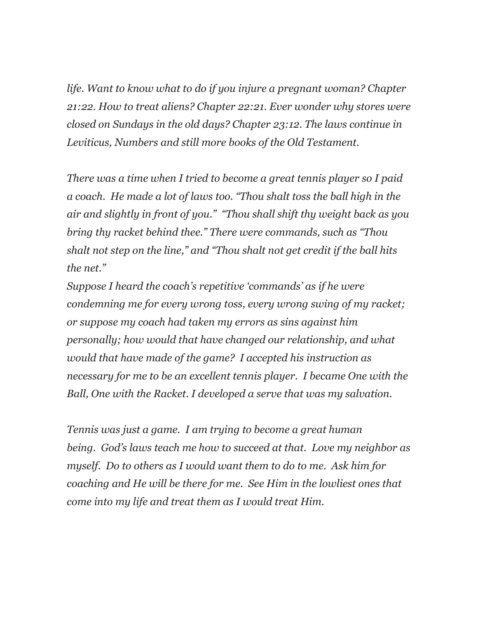*life. Want to know what to do if you injure a pregnant woman? Chapter 21:22. How to treat aliens? Chapter 22:21. Ever wonder why stores were closed on Sundays in the old days? Chapter 23:12. The laws continue in Leviticus, Numbers and still more books of the Old Testament.*

*There was a time when I tried to become a great tennis player so I paid a coach. He made a lot of laws too. "Thou shalt toss the ball high in the air and slightly in front of you." "Thou shall shift thy weight back as you bring thy racket behind thee." There were commands, such as "Thou shalt not step on the line," and "Thou shalt not get credit if the ball hits the net."*

*Suppose I heard the coach's repetitive 'commands' as if he were condemning me for every wrong toss, every wrong swing of my racket; or suppose my coach had taken my errors as sins against him personally; how would that have changed our relationship, and what would that have made of the game? I accepted his instruction as necessary for me to be an excellent tennis player. I became One with the Ball, One with the Racket. I developed a serve that was my salvation.* 

*Tennis was just a game. I am trying to become a great human being. God's laws teach me how to succeed at that. Love my neighbor as myself. Do to others as I would want them to do to me. Ask him for coaching and He will be there for me. See Him in the lowliest ones that come into my life and treat them as I would treat Him.*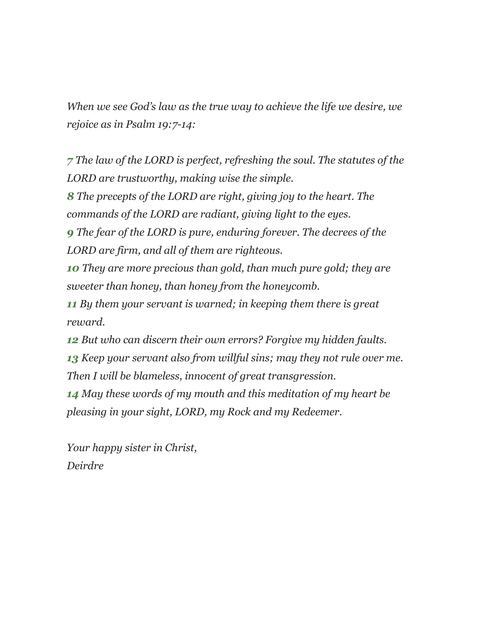*When we see God's law as the true way to achieve the life we desire, we rejoice as in Psalm 19:7-14:*

*[7](https://allsaintsmemorial.us3.list-manage.com/track/click?u=7dd27aa76e5aa692a967a8fe9&id=dcd6fac61d&e=ed2b772c05) The law of the LORD is perfect, refreshing the soul. The statutes of the LORD are trustworthy, making wise the simple.*

*[8](https://allsaintsmemorial.us3.list-manage.com/track/click?u=7dd27aa76e5aa692a967a8fe9&id=d8f06db11f&e=ed2b772c05) The precepts of the LORD are right, giving joy to the heart. The commands of the LORD are radiant, giving light to the eyes.*

*[9](https://allsaintsmemorial.us3.list-manage.com/track/click?u=7dd27aa76e5aa692a967a8fe9&id=2f5211da84&e=ed2b772c05) The fear of the LORD is pure, enduring forever. The decrees of the LORD are firm, and all of them are righteous.*

*[10](https://allsaintsmemorial.us3.list-manage.com/track/click?u=7dd27aa76e5aa692a967a8fe9&id=185a8bd35a&e=ed2b772c05) They are more precious than gold, than much pure gold; they are sweeter than honey, than honey from the honeycomb.*

*[11](https://allsaintsmemorial.us3.list-manage.com/track/click?u=7dd27aa76e5aa692a967a8fe9&id=248a620d0f&e=ed2b772c05) By them your servant is warned; in keeping them there is great reward.*

*[12](https://allsaintsmemorial.us3.list-manage.com/track/click?u=7dd27aa76e5aa692a967a8fe9&id=b1134bf449&e=ed2b772c05) But who can discern their own errors? Forgive my hidden faults. [13](https://allsaintsmemorial.us3.list-manage.com/track/click?u=7dd27aa76e5aa692a967a8fe9&id=c5bb425715&e=ed2b772c05) Keep your servant also from willful sins; may they not rule over me. Then I will be blameless, innocent of great transgression.*

*[14](https://allsaintsmemorial.us3.list-manage.com/track/click?u=7dd27aa76e5aa692a967a8fe9&id=d2e5f91d7a&e=ed2b772c05) May these words of my mouth and this meditation of my heart be pleasing in your sight, LORD, my Rock and my Redeemer.*

*Your happy sister in Christ, Deirdre*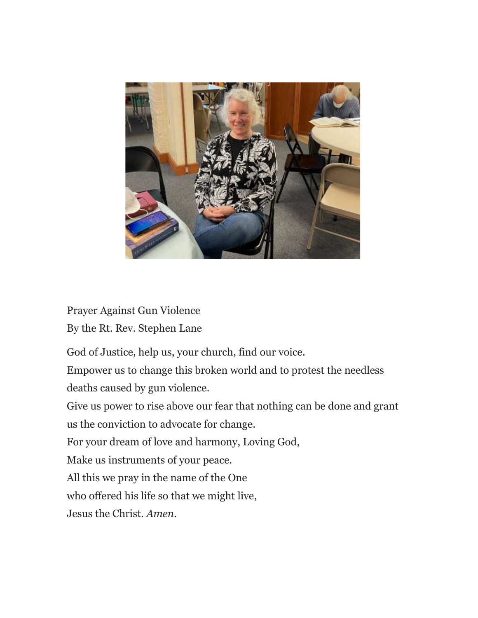

Prayer Against Gun Violence By the Rt. Rev. Stephen Lane

God of Justice, help us, your church, find our voice.

Empower us to change this broken world and to protest the needless deaths caused by gun violence.

Give us power to rise above our fear that nothing can be done and grant us the conviction to advocate for change.

For your dream of love and harmony, Loving God,

Make us instruments of your peace.

All this we pray in the name of the One

who offered his life so that we might live,

Jesus the Christ. *Amen*.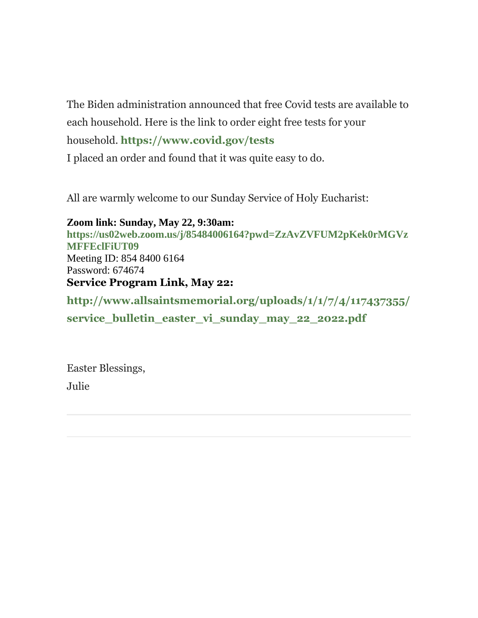The Biden administration announced that free Covid tests are available to each household. Here is the link to order eight free tests for your

household. **[https://www.covid.gov/tests](https://allsaintsmemorial.us3.list-manage.com/track/click?u=7dd27aa76e5aa692a967a8fe9&id=8a51a78ade&e=ed2b772c05)**

I placed an order and found that it was quite easy to do.

All are warmly welcome to our Sunday Service of Holy Eucharist:

**Zoom link: Sunday, May 22, 9:30am: [https://us02web.zoom.us/j/85484006164?pwd=ZzAvZVFUM2pKek0rMGVz](https://allsaintsmemorial.us3.list-manage.com/track/click?u=7dd27aa76e5aa692a967a8fe9&id=f8a2e511f3&e=ed2b772c05) [MFFEclFiUT09](https://allsaintsmemorial.us3.list-manage.com/track/click?u=7dd27aa76e5aa692a967a8fe9&id=f8a2e511f3&e=ed2b772c05)** Meeting ID: 854 8400 6164 Password: 674674 **Service Program Link, May 22:**

**[http://www.allsaintsmemorial.org/uploads/1/1/7/4/117437355/](https://allsaintsmemorial.us3.list-manage.com/track/click?u=7dd27aa76e5aa692a967a8fe9&id=f68ce11332&e=ed2b772c05)** service bulletin easter vi sunday may 22 2022.pdf

Easter Blessings, Julie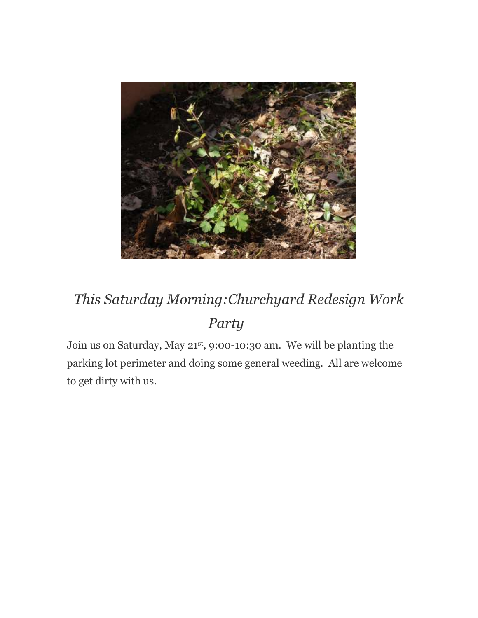

# *This Saturday Morning:Churchyard Redesign Work Party*

Join us on Saturday, May 21st, 9:00-10:30 am. We will be planting the parking lot perimeter and doing some general weeding. All are welcome to get dirty with us.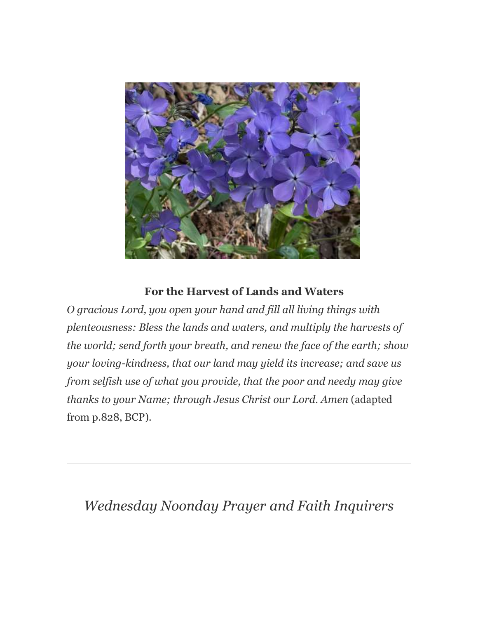

### **For the Harvest of Lands and Waters**

*O gracious Lord, you open your hand and fill all living things with plenteousness: Bless the lands and waters, and multiply the harvests of the world; send forth your breath, and renew the face of the earth; show your loving-kindness, that our land may yield its increase; and save us from selfish use of what you provide, that the poor and needy may give thanks to your Name; through Jesus Christ our Lord. Amen* (adapted from p.828, BCP)*.*

### *Wednesday Noonday Prayer and Faith Inquirers*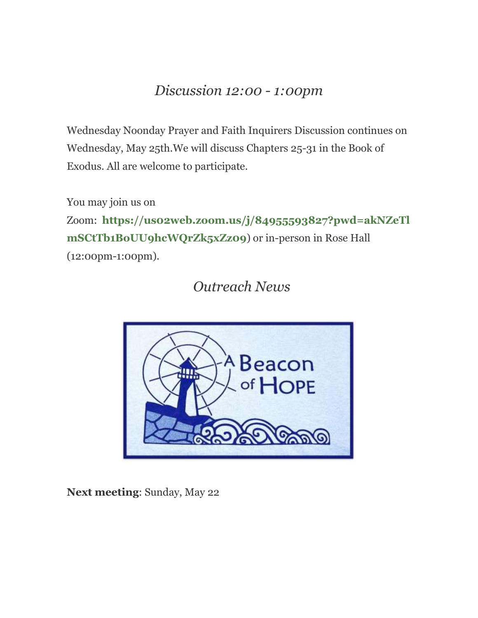### *Discussion 12:00 - 1:00pm*

Wednesday Noonday Prayer and Faith Inquirers Discussion continues on Wednesday, May 25th.We will discuss Chapters 25-31 in the Book of Exodus. All are welcome to participate.

You may join us on

Zoom: **[https://us02web.zoom.us/j/84955593827?pwd=akNZeTl](https://allsaintsmemorial.us3.list-manage.com/track/click?u=7dd27aa76e5aa692a967a8fe9&id=267cae73d6&e=ed2b772c05) [mSCtTb1BoUU9hcWQrZk5xZz09](https://allsaintsmemorial.us3.list-manage.com/track/click?u=7dd27aa76e5aa692a967a8fe9&id=267cae73d6&e=ed2b772c05)**) or in-person in Rose Hall (12:00pm-1:00pm).

*Outreach News*



**Next meeting**: Sunday, May 22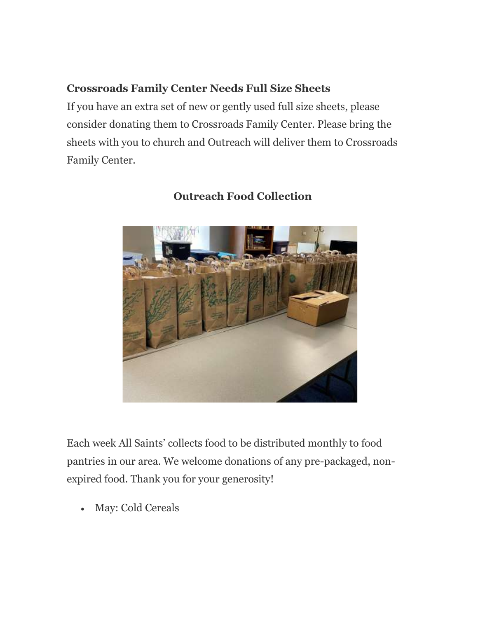### **Crossroads Family Center Needs Full Size Sheets**

If you have an extra set of new or gently used full size sheets, please consider donating them to Crossroads Family Center. Please bring the sheets with you to church and Outreach will deliver them to Crossroads Family Center.



### **Outreach Food Collection**

Each week All Saints' collects food to be distributed monthly to food pantries in our area. We welcome donations of any pre-packaged, nonexpired food. Thank you for your generosity!

May: Cold Cereals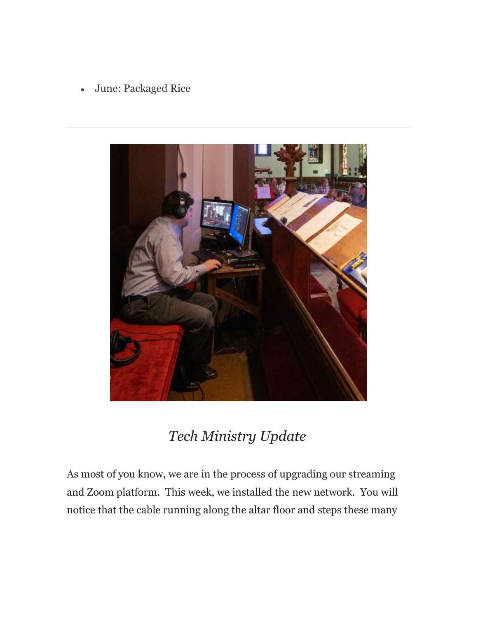June: Packaged Rice



### *Tech Ministry Update*

As most of you know, we are in the process of upgrading our streaming and Zoom platform. This week, we installed the new network. You will notice that the cable running along the altar floor and steps these many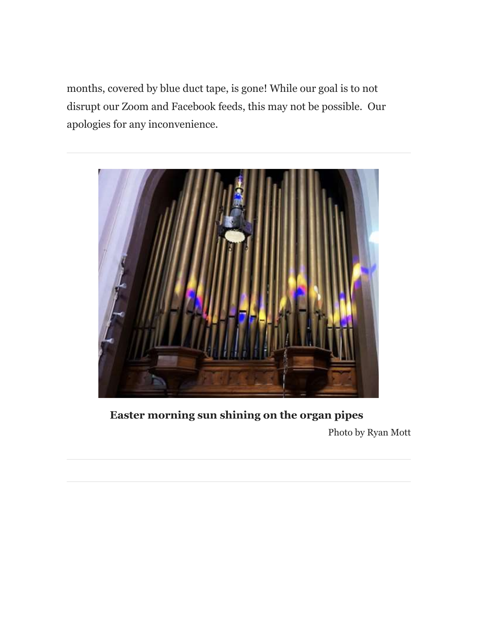months, covered by blue duct tape, is gone! While our goal is to not disrupt our Zoom and Facebook feeds, this may not be possible. Our apologies for any inconvenience.



**Easter morning sun shining on the organ pipes** Photo by Ryan Mott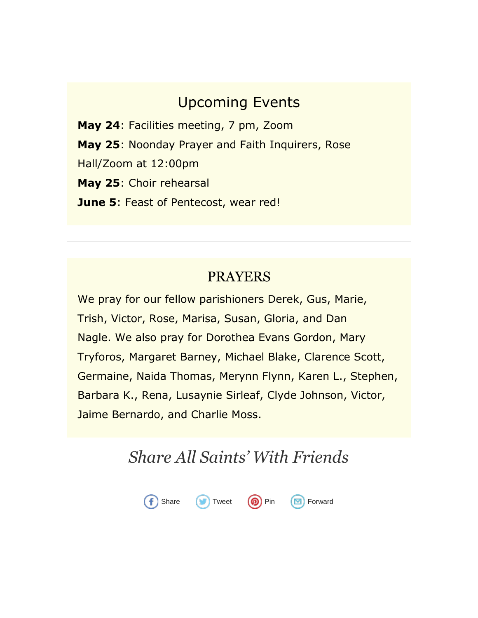### Upcoming Events

**May 24**: Facilities meeting, 7 pm, Zoom **May 25**: Noonday Prayer and Faith Inquirers, Rose Hall/Zoom at 12:00pm **May 25**: Choir rehearsal **June 5**: Feast of Pentecost, wear red!

### PRAYERS

We pray for our fellow parishioners Derek, Gus, Marie, Trish, Victor, Rose, Marisa, Susan, Gloria, and Dan Nagle. We also pray for Dorothea Evans Gordon, Mary Tryforos, Margaret Barney, Michael Blake, Clarence Scott, Germaine, Naida Thomas, Merynn Flynn, Karen L., Stephen, Barbara K., Rena, Lusaynie Sirleaf, Clyde Johnson, Victor, Jaime Bernardo, and Charlie Moss.

## *Share All Saints' With Friends*

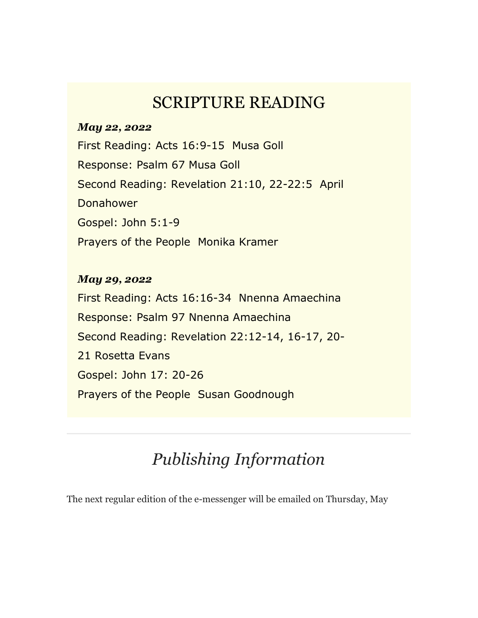### SCRIPTURE READING

#### *May 22, 2022*

First Reading: Acts 16:9-15 Musa Goll Response: Psalm 67 Musa Goll Second Reading: Revelation 21:10, 22-22:5 April Donahower Gospel: John 5:1-9 Prayers of the People Monika Kramer

#### *May 29, 2022*

First Reading: Acts 16:16-34 Nnenna Amaechina Response: Psalm 97 Nnenna Amaechina Second Reading: Revelation 22:12-14, 16-17, 20- 21 Rosetta Evans Gospel: John 17: 20-26 Prayers of the People Susan Goodnough

# *Publishing Information*

The next regular edition of the e-messenger will be emailed on Thursday, May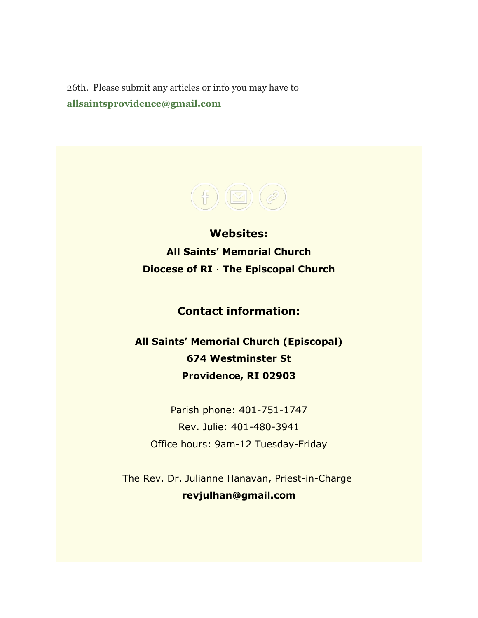26th. Please submit any articles or info you may have to **[allsaintsprovidence@gmail.com](https://allsaintsmemorial.us3.list-manage.com/track/click?u=7dd27aa76e5aa692a967a8fe9&id=d5f6267632&e=ed2b772c05)**

**Websites: [All Saints' Memorial Church](https://allsaintsmemorial.us3.list-manage.com/track/click?u=7dd27aa76e5aa692a967a8fe9&id=5ba8bc9a7b&e=ed2b772c05) [Diocese of RI](https://allsaintsmemorial.us3.list-manage.com/track/click?u=7dd27aa76e5aa692a967a8fe9&id=b4dbd814c4&e=ed2b772c05)** · **[The Episcopal Church](https://allsaintsmemorial.us3.list-manage.com/track/click?u=7dd27aa76e5aa692a967a8fe9&id=f3ac71562d&e=ed2b772c05)**

### **Contact information:**

**All Saints' Memorial Church (Episcopal) 674 Westminster St Providence, RI 02903**

Parish phone: 401-751-1747 Rev. Julie: 401-480-3941 Office hours: 9am-12 Tuesday-Friday

The Rev. Dr. Julianne Hanavan, Priest-in-Charge **[revjulhan@gmail.com](mailto:revjulhan@gmail.com?subject=Response%20to%20e-Parish%20Messenger)**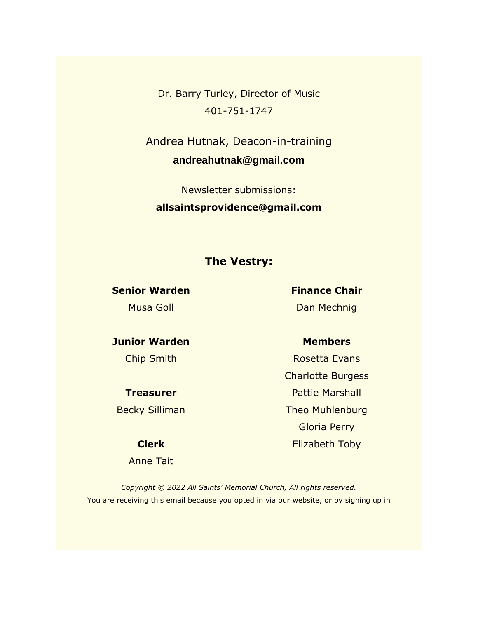Dr. Barry Turley, Director of Music 401-751-1747

Andrea Hutnak, Deacon-in-training **[andreahutnak@gmail.com](mailto:andreahutnak@gmail.com)**

Newsletter submissions: **[allsaintsprovidence@gmail.com](mailto:allsaintsprovidence@gmail.com)**

#### **The Vestry:**

**Senior Warden** Musa Goll

**Finance Chair** Dan Mechnig

**Junior Warden** Chip Smith

**Treasurer**

Becky Silliman

#### **Clerk**

Anne Tait

#### **Members**

Rosetta Evans Charlotte Burgess Pattie Marshall Theo Muhlenburg Gloria Perry Elizabeth Toby

*Copyright © 2022 All Saints' Memorial Church, All rights reserved.* You are receiving this email because you opted in via our website, or by signing up in